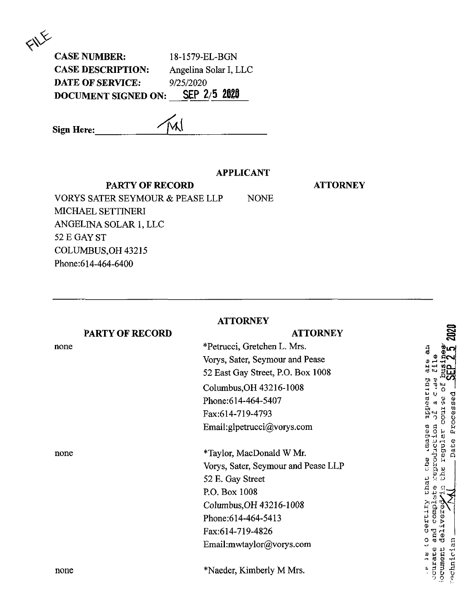| <b>CASE NUMBER:</b>        | 18-1579-EL-BGN        |
|----------------------------|-----------------------|
| <b>CASE DESCRIPTION:</b>   | Angelina Solar I, LLC |
| <b>DATE OF SERVICE:</b>    | 9/25/2020             |
| <b>DOCUMENT SIGNED ON:</b> | SEP 2/5 2020          |

W **Sign Here:**

## **APPLICANT**

**ATTORNEY**

**PARTY OF RECORD** VORYS SATER SEYMOUR & PEASE LLP NONE MICHAEL SETTINERI ANGELINA SOLAR 1, LLC 52 E GAY ST COLUMBUS,OH 43215 Phone:614-464-6400

## **PARTY OF RECORD** none **ATTORNEY** \*Petrucci, Gretchen L. Mrs. Vorys, Sater, Seymour and Pease 52 East Gay Street, P.O. Box 1008 Columbus,OH 43216-1008 Phone:614-464-5407 Fax:614-719-4793 Email:glpetrucci@vorys.com none \*Taylor, MacDonald W Mr. Vorys, Sater, Seymour and Pease LLP 52 E. Gay Street P.O. Box 1008 Columbus,OH 43216-1008 Phone:614-464-5413 Fax:614-719-4826 Email:mwtaylor@vorys.com none \*Naeder, Kimberly M Mrs.

purseddr that the .mages reproduction ete. N 18 LO COIDIN courate and compl del echnician ocument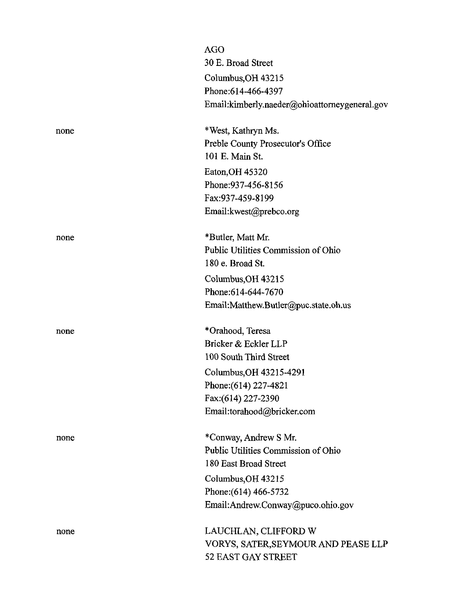|      | AGO                                           |
|------|-----------------------------------------------|
|      | 30 E. Broad Street                            |
|      | Columbus, OH 43215                            |
|      | Phone: 614-466-4397                           |
|      | Email:kimberly.naeder@ohioattorneygeneral.gov |
| none | *West, Kathryn Ms.                            |
|      | Preble County Prosecutor's Office             |
|      | 101 E. Main St.                               |
|      | Eaton, OH 45320                               |
|      | Phone: 937-456-8156                           |
|      | Fax:937-459-8199                              |
|      | Email: kwest@prebco.org                       |
| none | *Butler, Matt Mr.                             |
|      | Public Utilities Commission of Ohio           |
|      | 180 e. Broad St.                              |
|      | Columbus, OH 43215                            |
|      | Phone: 614-644-7670                           |
|      | Email:Matthew.Butler@puc.state.oh.us          |
| none | *Orahood, Teresa                              |
|      | Bricker & Eckler LLP                          |
|      | 100 South Third Street                        |
|      | Columbus, OH 43215-4291                       |
|      | Phone: (614) 227-4821                         |
|      | Fax: (614) 227-2390                           |
|      | Email:torahood@bricker.com                    |
| none | *Conway, Andrew S Mr.                         |
|      | Public Utilities Commission of Ohio           |
|      | 180 East Broad Street                         |
|      | Columbus, OH 43215                            |
|      | Phone: (614) 466-5732                         |
|      | Email:Andrew.Conway@puco.ohio.gov             |
| none | LAUCHLAN, CLIFFORD W                          |
|      | VORYS, SATER,SEYMOUR AND PEASE LLP            |
|      | 52 EAST GAY STREET                            |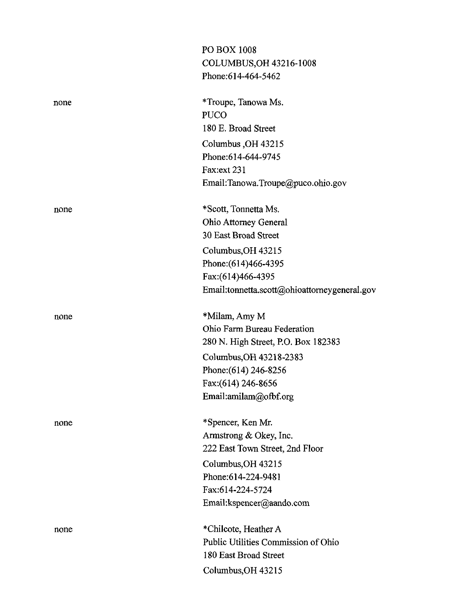|      | PO BOX 1008                                  |
|------|----------------------------------------------|
|      | COLUMBUS, OH 43216-1008                      |
|      | Phone: 614-464-5462                          |
| none | *Troupe, Tanowa Ms.                          |
|      | <b>PUCO</b>                                  |
|      | 180 E. Broad Street                          |
|      | Columbus, OH 43215                           |
|      | Phone: 614-644-9745                          |
|      | Fax:ext 231                                  |
|      | Email:Tanowa.Troupe@puco.ohio.gov            |
| none | *Scott, Tonnetta Ms.                         |
|      | <b>Ohio Attorney General</b>                 |
|      | 30 East Broad Street                         |
|      | Columbus, OH 43215                           |
|      | Phone: (614)466-4395                         |
|      | Fax: (614) 466-4395                          |
|      | Email:tonnetta.scott@ohioattorneygeneral.gov |
| none | *Milam, Amy M                                |
|      | Ohio Farm Bureau Federation                  |
|      | 280 N. High Street, P.O. Box 182383          |
|      | Columbus, OH 43218-2383                      |
|      | Phone: (614) 246-8256                        |
|      | Fax: (614) 246-8656                          |
|      | Email:amilam@ofbf.org                        |
| none | *Spencer, Ken Mr.                            |
|      | Armstrong & Okey, Inc.                       |
|      | 222 East Town Street, 2nd Floor              |
|      | Columbus, OH 43215                           |
|      | Phone:614-224-9481                           |
|      | Fax:614-224-5724                             |
|      | Email:kspencer@aando.com                     |
| none | *Chilcote, Heather A                         |
|      | Public Utilities Commission of Ohio          |
|      | 180 East Broad Street                        |
|      | Columbus, OH 43215                           |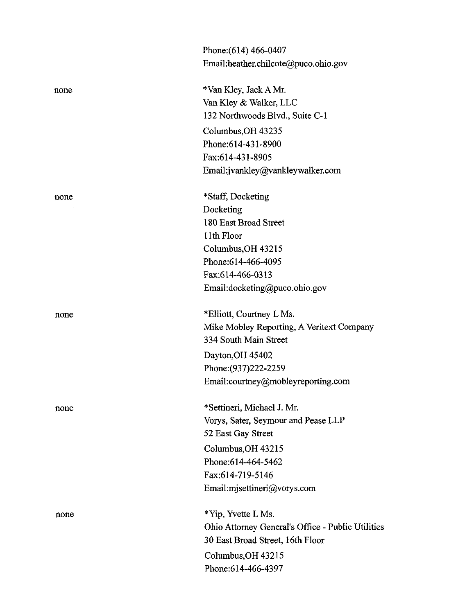|      | Phone: (614) 466-0407                             |
|------|---------------------------------------------------|
|      | Email:heather.chilcote@puco.ohio.gov              |
| none | *Van Kley, Jack A Mr.                             |
|      | Van Kley & Walker, LLC                            |
|      | 132 Northwoods Blvd., Suite C-1                   |
|      | Columbus, OH 43235                                |
|      | Phone: 614-431-8900                               |
|      | Fax:614-431-8905                                  |
|      | Email:jvankley@vankleywalker.com                  |
| none | *Staff, Docketing                                 |
|      | Docketing                                         |
|      | 180 East Broad Street                             |
|      | 11th Floor                                        |
|      | Columbus, OH 43215                                |
|      | Phone: 614-466-4095                               |
|      | Fax:614-466-0313                                  |
|      | Email:docketing@puco.ohio.gov                     |
| none | *Elliott, Courtney L Ms.                          |
|      | Mike Mobley Reporting, A Veritext Company         |
|      | 334 South Main Street                             |
|      | Dayton, OH 45402                                  |
|      | Phone: (937) 222-2259                             |
|      | Email:courtney@mobleyreporting.com                |
| none | *Settineri, Michael J. Mr.                        |
|      | Vorys, Sater, Seymour and Pease LLP               |
|      | 52 East Gay Street                                |
|      | Columbus, OH 43215                                |
|      | Phone:614-464-5462                                |
|      | Fax:614-719-5146                                  |
|      | Email:mjsettineri@vorys.com                       |
| none | *Yip, Yvette L Ms.                                |
|      | Ohio Attorney General's Office - Public Utilities |
|      | 30 East Broad Street, 16th Floor                  |
|      | Columbus, OH 43215                                |
|      | Phone:614-466-4397                                |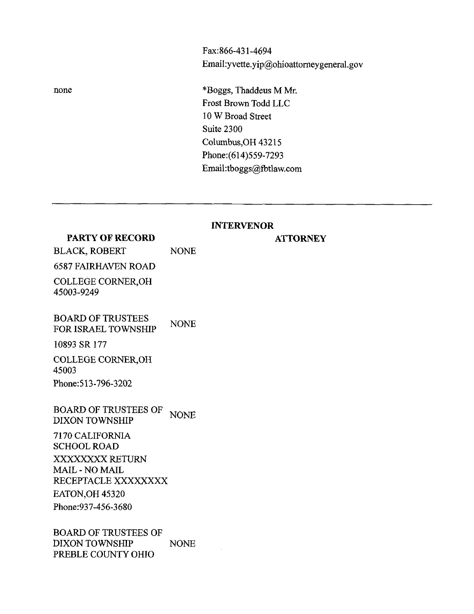Fax:866-431-4694 EmaiI:yvette.yip@ohioattomeygeneral.gov

**ATTORNEY**

none \*Boggs, Thaddeus M Mr. Frost Brown Todd LLC 10 W Broad Street Suite 2300 Columbus,OH 43215 Phone:(614)559-7293 Email:tboggs@fbtlaw.com

## **INTERVENOR**

| <b>PARTY OF RECORD</b>                                                                                                                                                                                           |             |
|------------------------------------------------------------------------------------------------------------------------------------------------------------------------------------------------------------------|-------------|
| <b>BLACK, ROBERT</b>                                                                                                                                                                                             | <b>NONE</b> |
| <b>6587 FAIRHAVEN ROAD</b>                                                                                                                                                                                       |             |
| <b>COLLEGE CORNER, OH</b><br>45003-9249                                                                                                                                                                          |             |
| <b>BOARD OF TRUSTEES</b><br><b>FOR ISRAEL TOWNSHIP</b>                                                                                                                                                           | <b>NONE</b> |
| 10893 SR 177                                                                                                                                                                                                     |             |
| COLLEGE CORNER, OH<br>45003                                                                                                                                                                                      |             |
| Phone: 513-796-3202                                                                                                                                                                                              |             |
| <b>BOARD OF TRUSTEES OF</b><br><b>DIXON TOWNSHIP</b><br>7170 CALIFORNIA<br><b>SCHOOL ROAD</b><br>XXXXXXXX RETURN<br><b>MAIL - NO MAIL</b><br>RECEPTACLE XXXXXXXX<br><b>EATON OH 45320</b><br>Phone: 937-456-3680 | <b>NONE</b> |
| <b>BOARD OF TRUSTEES OF</b><br><b>DIXON TOWNSHIP</b><br>PREBLE COUNTY OHIO                                                                                                                                       | <b>NONE</b> |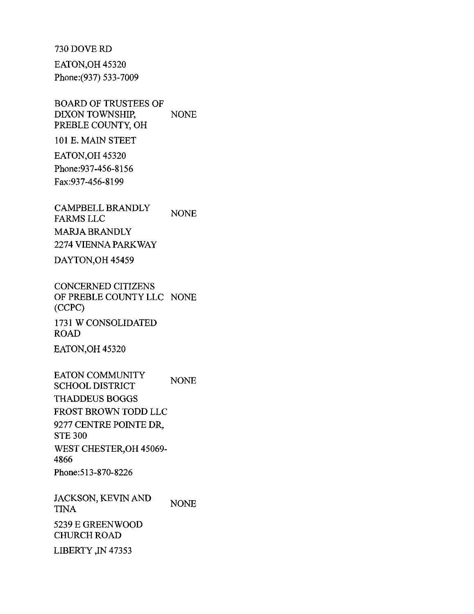730 DOVE RD

EATON.OH 45320 Phone:(937) 533-7009

BOARD OF TRUSTEES OF DIXON TOWNSHIP, PREBLE COUNTY, OH NONE

101 E. MAIN STEET

EATON,OH 45320 Phone:937-456-8156 Fax:937-456-8199

CAMPBELL BRANDLY **NONE** FARMS LLC MARJA BRANDLY 2274 VIENNA PARKWAY

DAYTON,OH 45459

CONCERNED CITIZENS OF PREBLE COUNTY LLC NONE (CCPC) 1731 W CONSOLIDATED ROAD EATON,OH 45320

EATON COMMUNITY SCHOOL DISTRICT THADDEUS BOGGS FROST BROWN TODD LLC 9277 CENTRE POINTE DR, STE 300 WEST CHESTER,OH 45069- 4866 Phone:513-870-8226 NONE

JACKSON, KEVIN AND TINA 5239 E GREENWOOD CHURCH ROAD LIBERTY,IN 47353 NONE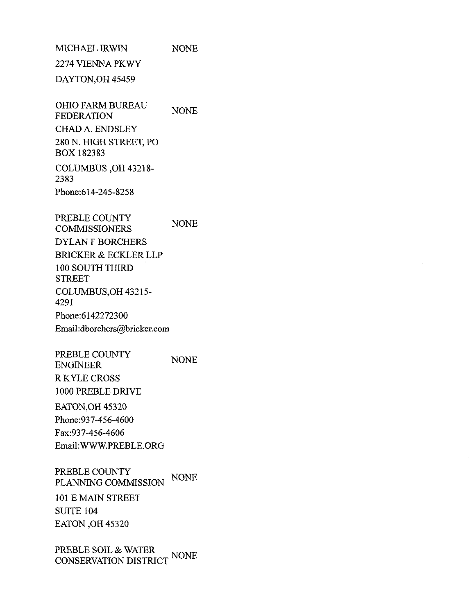MICHAEL IRWIN 2274 VIENNA PKWY NONE

DAYTON,OH 45459

OHIO FARM BUREAU FEDERATION CHADA.ENDSLEY 280 N. HIGH STREET, PO BOX 182383 COLUMBUS ,OH 43218- NONE

2383 Phone:614-245-8258

PREBLE COUNTY COMMISSIONERS DYLAN F BORCHERS BRICKER & ECKLER LLP 100 SOUTH THIRD **STREET** COLUMBUS,OH 43215- 4291 Phone:6142272300 Email:dborchers@bricker.com NONE

PREBLE COUNTY ENGINEER R KYLE CROSS 1000 PREBLE DRIVE NONE

EATON,OH 45320 Phone:937-456-4600 Fax:937-456-4606 Email:WWW.PREBLE.ORG

PREBLE COUNTY PLANNING COMMISSION NONE

101 E MAIN STREET SUITE 104 EATON,OH 45320

PREBLE SOIL & WATER<br>CONSERVATION DISTRICT <sup>NONE</sup>